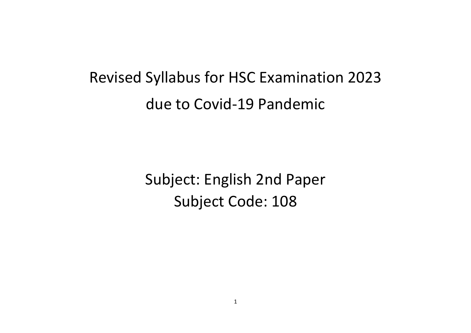## Revised Syllabus for HSC Examination 2023 due to Covid-19 Pandemic

Subject: English 2nd Paper Subject Code: 108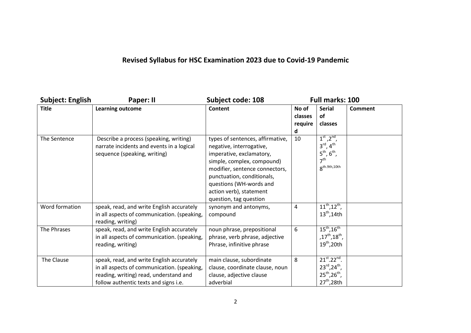## **Revised Syllabus for HSC Examination 2023 due to Covid-19 Pandemic**

| <b>Subject: English</b> | Paper: II                                                                                                                                                                   | <b>Subject code: 108</b>                                                                                                                                                                                                                                               | Full marks: 100                  |                                                                                                                                                  |         |
|-------------------------|-----------------------------------------------------------------------------------------------------------------------------------------------------------------------------|------------------------------------------------------------------------------------------------------------------------------------------------------------------------------------------------------------------------------------------------------------------------|----------------------------------|--------------------------------------------------------------------------------------------------------------------------------------------------|---------|
| <b>Title</b>            | Learning outcome                                                                                                                                                            | <b>Content</b>                                                                                                                                                                                                                                                         | No of<br>classes<br>require<br>d | <b>Serial</b><br><b>of</b><br>classes                                                                                                            | Comment |
| The Sentence            | Describe a process (speaking, writing)<br>narrate incidents and events in a logical<br>sequence (speaking, writing)                                                         | types of sentences, affirmative,<br>negative, interrogative,<br>imperative, exclamatory,<br>simple, complex, compound)<br>modifier, sentence connectors,<br>punctuation, conditionals,<br>questions (WH-words and<br>action verb), statement<br>question, tag question | 10                               | $1^{\text{st}}$ , $2^{\text{nd}}$ ,<br>$3^{\text{rd}}$ , $4^{\text{th}}$<br>$5^{th}$ , $6^{th}$ ,<br>7 <sup>th</sup><br>$8^{\text{th.9th,10th}}$ |         |
| Word formation          | speak, read, and write English accurately<br>in all aspects of communication. (speaking,<br>reading, writing)                                                               | synonym and antonyms,<br>compound                                                                                                                                                                                                                                      | 4                                | $11^{th}$ , $12^{th}$ ,<br>$13th$ , 14th                                                                                                         |         |
| The Phrases             | speak, read, and write English accurately<br>in all aspects of communication. (speaking,<br>reading, writing)                                                               | noun phrase, prepositional<br>phrase, verb phrase, adjective<br>Phrase, infinitive phrase                                                                                                                                                                              | 6                                | $15^{th}$ , $16^{th}$<br>,17 <sup>th</sup> ,18 <sup>th</sup> ,<br>$19th$ , 20th                                                                  |         |
| The Clause              | speak, read, and write English accurately<br>in all aspects of communication. (speaking,<br>reading, writing) read, understand and<br>follow authentic texts and signs i.e. | main clause, subordinate<br>clause, coordinate clause, noun<br>clause, adjective clause<br>adverbial                                                                                                                                                                   | 8                                | $21^{st}$ . $22^{nd}$ .<br>$23^{\text{rd}}$ , $24^{\text{th}}$ ,<br>$25^{th}$ , $26^{th}$ ,<br>$27th$ , 28th                                     |         |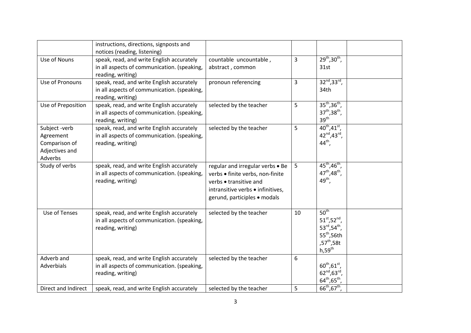|                                                                          | instructions, directions, signposts and<br>notices (reading, listening)                                       |                                                                                                                                                                     |    |                                                                                                                                                         |  |
|--------------------------------------------------------------------------|---------------------------------------------------------------------------------------------------------------|---------------------------------------------------------------------------------------------------------------------------------------------------------------------|----|---------------------------------------------------------------------------------------------------------------------------------------------------------|--|
| Use of Nouns                                                             | speak, read, and write English accurately                                                                     | countable uncountable,                                                                                                                                              | 3  | $29^{th}, 30^{th}$ ,                                                                                                                                    |  |
|                                                                          | in all aspects of communication. (speaking,<br>reading, writing)                                              | abstract, common                                                                                                                                                    |    | 31st                                                                                                                                                    |  |
| Use of Pronouns                                                          | speak, read, and write English accurately<br>in all aspects of communication. (speaking,<br>reading, writing) | pronoun referencing                                                                                                                                                 | 3  | $32^{nd}$ , $33^{rd}$ ,<br>34th                                                                                                                         |  |
| Use of Preposition                                                       | speak, read, and write English accurately<br>in all aspects of communication. (speaking,<br>reading, writing) | selected by the teacher                                                                                                                                             | 5  | $35^{th}$ , $36^{th}$ ,<br>$37^{th}, 38^{th}$ ,<br>39 <sup>th</sup>                                                                                     |  |
| Subject -verb<br>Agreement<br>Comparison of<br>Adjectives and<br>Adverbs | speak, read, and write English accurately<br>in all aspects of communication. (speaking,<br>reading, writing) | selected by the teacher                                                                                                                                             | 5  | $40^{th}$ , $41^{st}$ ,<br>42nd, 43rd,<br>44 <sup>th</sup> ,                                                                                            |  |
| Study of verbs                                                           | speak, read, and write English accurately<br>in all aspects of communication. (speaking,<br>reading, writing) | regular and irregular verbs . Be<br>verbs · finite verbs, non-finite<br>verbs • transitive and<br>intransitive verbs • infinitives,<br>gerund, participles · modals | 5  | $45^{\text{th}}$ , 46 <sup>th</sup> , 47 <sup>th</sup> , 48 <sup>th</sup> ,<br>49 <sup>th</sup> ,                                                       |  |
| Use of Tenses                                                            | speak, read, and write English accurately<br>in all aspects of communication. (speaking,<br>reading, writing) | selected by the teacher                                                                                                                                             | 10 | 50 <sup>th</sup><br>$51^{st}$ , 52 $^{nd}$ ,<br>$53^{\text{rd}}$ , $54^{\text{th}}$ ,<br>$55th$ ,56th<br>,57 <sup>th</sup> ,58t<br>$h,59$ <sup>th</sup> |  |
| Adverb and<br>Adverbials                                                 | speak, read, and write English accurately<br>in all aspects of communication. (speaking,<br>reading, writing) | selected by the teacher                                                                                                                                             | 6  | $60^{th}, 61^{st}$ ,<br>$62^{nd}, 63^{rd},$<br>$64^{\text{th}}$ , $65^{\text{th}}$ ,                                                                    |  |
| Direct and Indirect                                                      | speak, read, and write English accurately                                                                     | selected by the teacher                                                                                                                                             | 5  | $66^{th}, 67^{th}$                                                                                                                                      |  |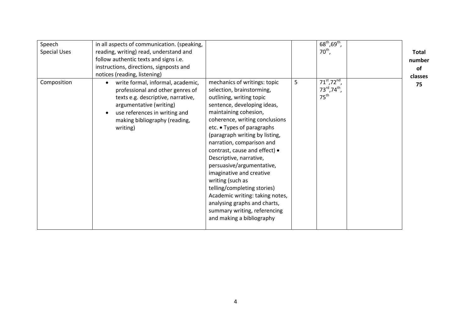| Speech              | in all aspects of communication. (speaking,                                                                                                                                                                                       |                                                                                                                                                                                                                                                                                                                                                                                                                                                                                                                                                                                      |   | $68^{\text{th}}$ , $69^{\text{th}}$ ,                                   |              |
|---------------------|-----------------------------------------------------------------------------------------------------------------------------------------------------------------------------------------------------------------------------------|--------------------------------------------------------------------------------------------------------------------------------------------------------------------------------------------------------------------------------------------------------------------------------------------------------------------------------------------------------------------------------------------------------------------------------------------------------------------------------------------------------------------------------------------------------------------------------------|---|-------------------------------------------------------------------------|--------------|
| <b>Special Uses</b> | reading, writing) read, understand and                                                                                                                                                                                            |                                                                                                                                                                                                                                                                                                                                                                                                                                                                                                                                                                                      |   | $70^{\text{th}}$ ,                                                      | <b>Total</b> |
|                     | follow authentic texts and signs i.e.                                                                                                                                                                                             |                                                                                                                                                                                                                                                                                                                                                                                                                                                                                                                                                                                      |   |                                                                         | number       |
|                     | instructions, directions, signposts and                                                                                                                                                                                           |                                                                                                                                                                                                                                                                                                                                                                                                                                                                                                                                                                                      |   |                                                                         | 0f           |
|                     | notices (reading, listening)                                                                                                                                                                                                      |                                                                                                                                                                                                                                                                                                                                                                                                                                                                                                                                                                                      |   |                                                                         | classes      |
| Composition         | write formal, informal, academic,<br>$\bullet$<br>professional and other genres of<br>texts e.g. descriptive, narrative,<br>argumentative (writing)<br>use references in writing and<br>making bibliography (reading,<br>writing) | mechanics of writings: topic<br>selection, brainstorming,<br>outlining, writing topic<br>sentence, developing ideas,<br>maintaining cohesion,<br>coherence, writing conclusions<br>etc. • Types of paragraphs<br>(paragraph writing by listing,<br>narration, comparison and<br>contrast, cause and effect) •<br>Descriptive, narrative,<br>persuasive/argumentative,<br>imaginative and creative<br>writing (such as<br>telling/completing stories)<br>Academic writing: taking notes,<br>analysing graphs and charts,<br>summary writing, referencing<br>and making a bibliography | 5 | $71^{st}$ , $72^{nd}$ ,<br>73rd, 74 <sup>th</sup> ,<br>$75^{\text{th}}$ | 75           |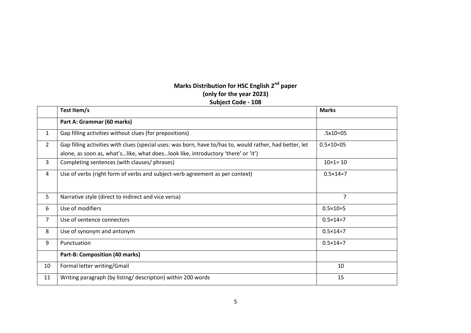## **Marks Distribution for HSC English 2nd paper (only for the year 2023) Subject Code - 108**

|                | Test Item/s                                                                                                                                                                                  | <b>Marks</b>         |
|----------------|----------------------------------------------------------------------------------------------------------------------------------------------------------------------------------------------|----------------------|
|                | Part A: Grammar (60 marks)                                                                                                                                                                   |                      |
| $\mathbf{1}$   | Gap filling activities without clues (for prepositions)                                                                                                                                      | $.5x10=05$           |
| $\overline{2}$ | Gap filling activities with clues (special uses: was born, have to/has to, would rather, had better, let<br>alone, as soon as, what'slike, what doeslook like, introductory 'there' or 'it') | $0.5 \times 10 = 05$ |
| 3              | Completing sentences (with clauses/ phrases)                                                                                                                                                 | $10 \times 1 = 10$   |
| 4              | Use of verbs (right form of verbs and subject-verb agreement as per context)                                                                                                                 | $0.5 \times 14 = 7$  |
| 5              | Narrative style (direct to indirect and vice versa)                                                                                                                                          | $\overline{7}$       |
| 6              | Use of modifiers                                                                                                                                                                             | $0.5 \times 10 = 5$  |
| $\overline{7}$ | Use of sentence connectors                                                                                                                                                                   | $0.5 \times 14 = 7$  |
| 8              | Use of synonym and antonym                                                                                                                                                                   | $0.5 \times 14 = 7$  |
| 9              | Punctuation                                                                                                                                                                                  | $0.5 \times 14 = 7$  |
|                | Part-B: Composition (40 marks)                                                                                                                                                               |                      |
| 10             | Formal letter writing/Gmail                                                                                                                                                                  | 10                   |
| 11             | Writing paragraph (by listing/ description) within 200 words                                                                                                                                 | 15                   |